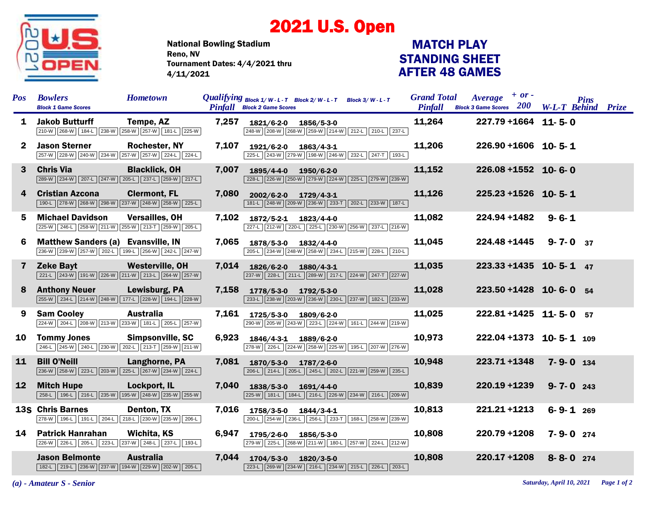## 2021 U.S. Open



National Bowling Stadium Tournament Dates: 4/4/2021 thru 4/11/2021 Reno, NV

## STANDING SHEET AFTER 48 GAMES MATCH PLAY

| <b>Pos</b>      | <b>Bowlers</b><br><b>Block 1 Game Scores</b>                                                 | <b>Hometown</b>        |       | <i>Qualifying</i> Block $1/W - L - T$ Block $2/W - L - T$ Block $3/W - L - T$<br><b>Pinfall</b> Block 2 Game Scores | <b>Grand Total</b><br>Pinfall | $Average + or -$<br><b>Block 3 Game Scores</b> 200 | <b>Pins</b><br><b>W-L-T Behind Prize</b> |  |
|-----------------|----------------------------------------------------------------------------------------------|------------------------|-------|---------------------------------------------------------------------------------------------------------------------|-------------------------------|----------------------------------------------------|------------------------------------------|--|
| $\mathbf{1}$    | <b>Jakob Butturff</b><br>210-W 268-W 184-L 238-W 258-W 257-W 181-L 225-W                     | Tempe, AZ              | 7,257 | 1821/6-2-0 1856/5-3-0<br>248-W 208-W 268-W 259-W 214-W 212-L 210-L 237-L                                            | 11,264                        | 227.79 + 1664 11-5-0                               |                                          |  |
| $\mathbf{2}$    | <b>Jason Sterner</b><br>257-W 228-W 240-W 234-W 257-W 257-W 224-L 224-L                      | <b>Rochester, NY</b>   | 7,107 | 1921/6-2-0<br>$1863/4 - 3 - 1$<br>225-L 243-W 279-W 198-W 246-W 232-L 247-T 193-L                                   | 11,206                        | 226.90 +1606 10-5-1                                |                                          |  |
| 3               | <b>Chris Via</b><br>289-W 234-W 207-L 247-W 205-L 237-L 259-W 217-L                          | <b>Blacklick, OH</b>   | 7,007 | 1895/4-4-0 1950/6-2-0<br>228-L 226-W 250-W 279-W 224-W 225-L 279-W 239-W                                            | 11,152                        | $226.08 + 1552$ 10-6-0                             |                                          |  |
| 4               | <b>Cristian Azcona</b><br>190-L 278-W 268-W 298-W 237-W 248-W 258-W 225-L                    | <b>Clermont, FL</b>    | 7,080 | 2002/6-2-0 1729/4-3-1<br>181-L 248-W 209-W 236-W 233-T 202-L 233-W 187-L                                            | 11,126                        | 225.23 +1526 10-5-1                                |                                          |  |
| 5.              | <b>Michael Davidson</b><br>225-W 246-L 258-W 211-W 255-W 213-T 259-W 205-L                   | <b>Versailles, OH</b>  | 7,102 | 1872/5-2-1 1823/4-4-0<br>227-L 212-W 220-L 225-L 230-W 256-W 237-L 216-W                                            | 11,082                        | 224.94 +1482                                       | $9 - 6 - 1$                              |  |
| 6               | <b>Matthew Sanders (a) Evansville, IN</b><br>236-W 239-W 257-W 202-L 199-L 256-W 242-L 247-W |                        | 7,065 | 1878/5-3-0 1832/4-4-0<br>205-L 234-W 248-W 258-W 234-L 215-W 228-L 210-L                                            | 11,045                        | 224.48 +1445                                       | $9 - 7 - 0$ 37                           |  |
| $\overline{7}$  | <b>Zeke Bayt</b><br>221-L 243-W 191-W 226-W 211-W 213-L 264-W 257-W                          | <b>Westerville, OH</b> | 7,014 | 1826/6-2-0<br>$1880/4 - 3 - 1$<br>237-W 228-L 211-L 289-W 217-L 224-W 247-T 227-W                                   | 11,035                        | $223.33 + 1435$ 10-5-1 47                          |                                          |  |
| 8               | <b>Anthony Neuer</b><br>255-W 234-L 214-W 248-W 177-L 228-W 194-L 228-W                      | Lewisburg, PA          | 7,158 | 1778/5-3-0 1792/5-3-0<br>233-L 238-W 203-W 236-W 230-L 237-W 182-L 233-W                                            | 11,028                        | 223.50 +1428 10-6-0 54                             |                                          |  |
| 9               | <b>Sam Cooley</b><br>224-W   204-L   208-W   213-W   233-W   181-L   205-L   257-W           | <b>Australia</b>       | 7,161 | 1725/5-3-0 1809/6-2-0<br>290-W 205-W 243-W 223-L 224-W 161-L 244-W 219-W                                            | 11,025                        | $222.81 + 1425$ 11-5-0 57                          |                                          |  |
| 10              | <b>Tommy Jones</b><br>246-L 245-W 240-L 230-W 202-L 213-T 259-W 211-W                        | Simpsonville, SC       | 6,923 | 1846/4-3-1 1889/6-2-0<br>278-W 226-L 224-W 258-W 225-W 195-L 207-W 276-W                                            | 10,973                        | 222.04 +1373 10-5-1 109                            |                                          |  |
| 11              | <b>Bill O'Neill</b><br>236-W 258-W 223-L 203-W 225-L 267-W 234-W 224-L                       | Langhorne, PA          | 7,081 | 1870/5-3-0 1787/2-6-0<br>206-L 214-L 205-L 245-L 202-L 221-W 259-W 235-L                                            | 10,948                        | 223.71+1348                                        | $7 - 9 - 0$ 134                          |  |
| 12 <sup>7</sup> | <b>Mitch Hupe</b><br>258-L 196-L 216-L 235-W 195-W 248-W 235-W 255-W                         | Lockport, IL           | 7,040 | 1838/5-3-0 1691/4-4-0<br>225-W 181-L 184-L 216-L 226-W 234-W 216-L 209-W                                            | 10,839                        | 220.19 +1239                                       | $9 - 7 - 0$ 243                          |  |
|                 | <b>13S Chris Barnes</b><br>278-W 196-L 191-L 204-L 218-L 230-W 235-W 206-L                   | Denton, TX             | 7,016 | 1758/3-5-0 1844/3-4-1<br>200-L 254-W 236-L 256-L 233-T 168-L 258-W 239-W                                            | 10,813                        | 221.21+1213                                        | $6 - 9 - 1$ 269                          |  |
| 14              | <b>Patrick Hanrahan</b><br>226-W 226-L 205-L 223-L 237-W 248-L 237-L 193-L                   | Wichita, KS            | 6,947 | 1795/2-6-0<br>1856/5-3-0<br>279-W 225-L 268-W 211-W 180-L 257-W 224-L 212-W                                         | 10,808                        | 220.79 +1208                                       | $7 - 9 - 0$ 274                          |  |
|                 | <b>Jason Belmonte</b><br>182-L 219-L 236-W 237-W 194-W 229-W 202-W 205-L                     | <b>Australia</b>       | 7,044 | 1704/5-3-0<br>1820/3-5-0<br>223-L 269-W 234-W 216-L 234-W 215-L 226-L 203-L                                         | 10,808                        | 220.17 +1208                                       | $8 - 8 - 0$ 274                          |  |